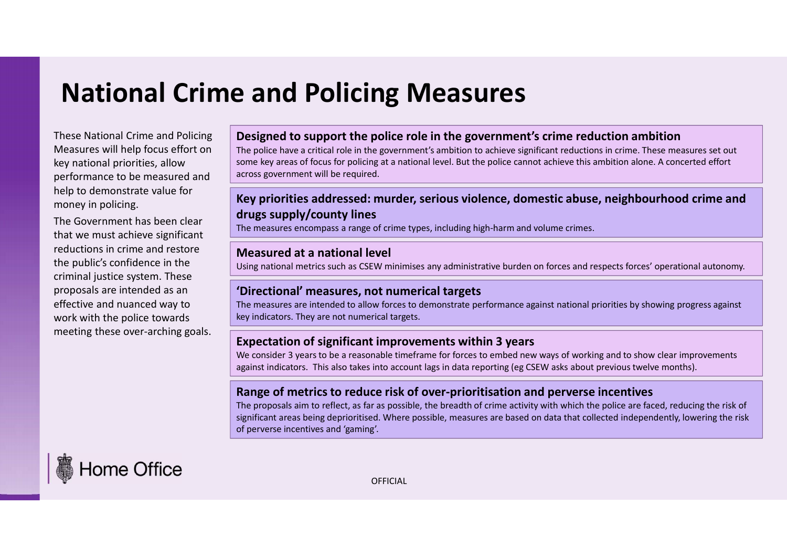# National Crime and Policing Measures

These National Crime and Policing Measures will help focus effort on key national priorities, allow performance to be measured and help to demonstrate value for money in policing.

The Government has been clear that we must achieve significant reductions in crime and restore the public's confidence in the criminal justice system. These proposals are intended as an effective and nuanced way to work with the police towards meeting these over-arching goals.

#### Designed to support the police role in the government's crime reduction ambition

The police have a critical role in the government's ambition to achieve significant reductions in crime. These measures set out some key areas of focus for policing at a national level. But the police cannot achieve this ambition alone. A concerted effort across government will be required.

## Key priorities addressed: murder, serious violence, domestic abuse, neighbourhood crime and drugs supply/county lines

The measures encompass a range of crime types, including high-harm and volume crimes.

#### Measured at a national level

Using national metrics such as CSEW minimises any administrative burden on forces and respects forces' operational autonomy.

### 'Directional' measures, not numerical targets

The measures are intended to allow forces to demonstrate performance against national priorities by showing progress against key indicators. They are not numerical targets.

### Expectation of significant improvements within 3 years

We consider 3 years to be a reasonable timeframe for forces to embed new ways of working and to show clear improvements

### Range of metrics to reduce risk of over-prioritisation and perverse incentives

across government will be required.<br>**Key priorities addressed: murder, serious violence, domestic abuse, neighbourhood crime and<br>drug is upply/countly lines<br>The measures encompass arange of crime types, including high-harm** significant areas being deprioritised. Where possible, measures are based on data that collected independently, lowering the risk of perverse incentives and 'gaming'. Designed to support the police role in the government's strike government's crime reductions in crime. These measures set out<br>some key areas of focus for policing at a national level. But the police cannot achieve this amb



OFFICIAL